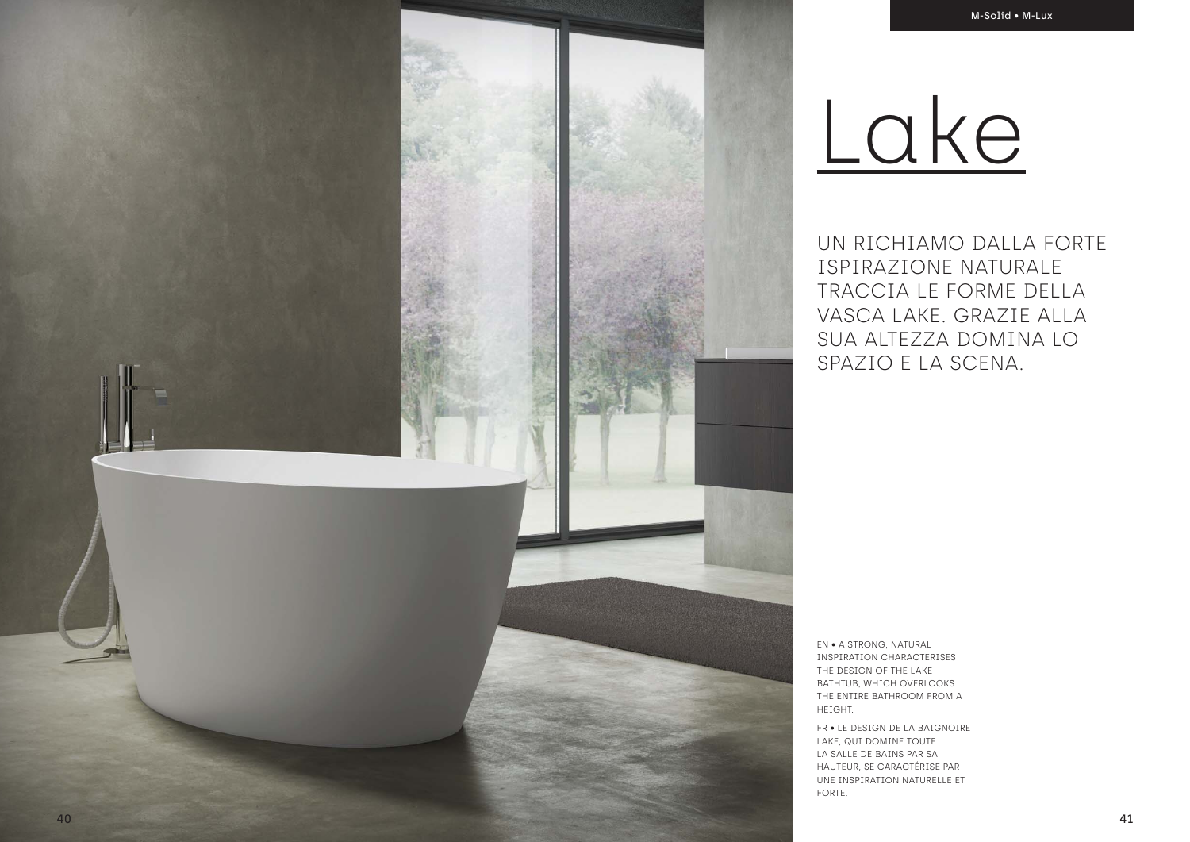UN RICHIAMO DALLA FORTE ISPIRAZIONE NATURALE TRACCIA LE FORME DELLA VASCA LAKE. GRAZIE ALLA SUA ALTEZZA DOMINA LO SPAZIO E LA SCENA.

EN • A STRONG, NATURAL INSPIRATION CHARACTERISES THE DESIGN OF THE LAKE BATHTUB, WHICH OVERLOOKS THE ENTIRE BATHROOM FROM A HEIGHT.

FR • LE DESIGN DE LA BAIGNOIRE LAKE, QUI DOMINE TOUTE LA SALLE DE BAINS PAR SA HAUTEUR, SE CARACTÉRISE PAR UNE INSPIRATION NATURELLE ET FORTE.

# Lake